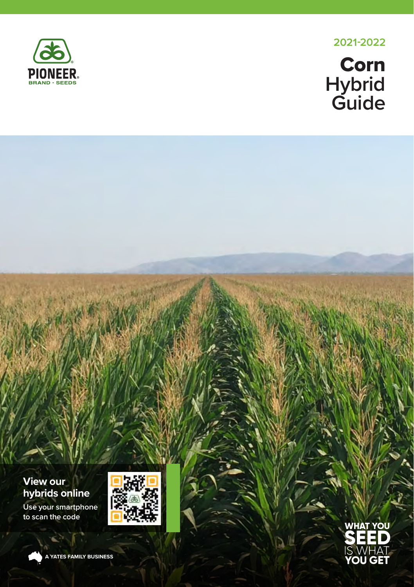

**2022**

# **Corn Hybrid Guide**

### **View our hybrids online**

**Use your smartphone to scan the code**





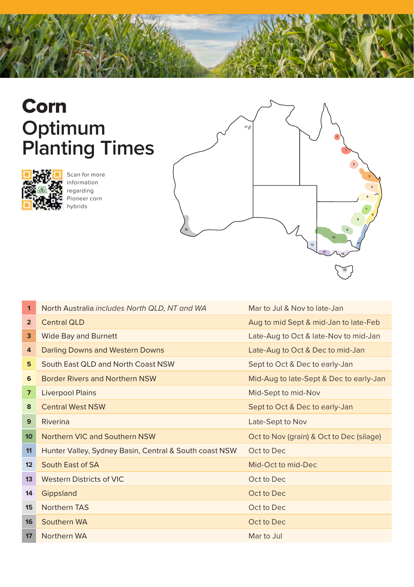

# Corn **Optimum <sup>17</sup> Planting Times**



Scan for more information regarding Pioneer corn hybrids



| 1              | North Australia includes North QLD, NT and WA          | Mar to Jul & Nov to late-Jan             |
|----------------|--------------------------------------------------------|------------------------------------------|
| $\overline{2}$ | <b>Central QLD</b>                                     | Aug to mid Sept & mid-Jan to late-Feb    |
| 3              | <b>Wide Bay and Burnett</b>                            | Late-Aug to Oct & late-Nov to mid-Jan    |
| 4              | Darling Downs and Western Downs                        | Late-Aug to Oct & Dec to mid-Jan         |
| 5              | South East QLD and North Coast NSW                     | Sept to Oct & Dec to early-Jan           |
| 6              | <b>Border Rivers and Northern NSW</b>                  | Mid-Aug to late-Sept & Dec to early-Jan  |
| $\overline{7}$ | <b>Liverpool Plains</b>                                | Mid-Sept to mid-Nov                      |
| 8              | <b>Central West NSW</b>                                | Sept to Oct & Dec to early-Jan           |
| 9              | Riverina                                               | Late-Sept to Nov                         |
| 10             | Northern VIC and Southern NSW                          | Oct to Nov (grain) & Oct to Dec (silage) |
| 11             | Hunter Valley, Sydney Basin, Central & South coast NSW | Oct to Dec                               |
| 12             | South East of SA                                       | Mid-Oct to mid-Dec                       |
| 13             | <b>Western Districts of VIC</b>                        | Oct to Dec                               |
| 14             | Gippsland                                              | Oct to Dec                               |
| 15             | Northern TAS                                           | Oct to Dec                               |
| 16             | Southern WA                                            | Oct to Dec                               |
| 17             | Northern WA                                            | Mar to Jul                               |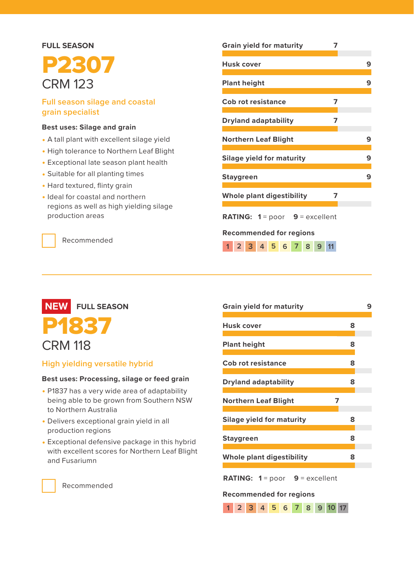## **FULL SEASON** P2307 CRM 123

#### **Full season silage and coastal grain specialist**

#### **Best uses: Silage and grain**

- A tall plant with excellent silage yield
- High tolerance to Northern Leaf Blight
- Exceptional late season plant health
- Suitable for all planting times
- Hard textured, flinty grain
- Ideal for coastal and northern regions as well as high yielding silage production areas

Recommended

## **Grain yield for maturity 7 Husk cover 9 Plant height 9 Cob rot resistance 7 Dryland adaptability 7 Northern Leaf Blight 9 Silage yield for maturity 9 Staygreen 9 Whole plant digestibility 7 RATING: 1** = poor **9** = excellent **Recommended for regions 1 2 3 4 5 6 7 8 9 11**



#### **High yielding versatile hybrid**

#### **Best uses: Processing, silage or feed grain**

- P1837 has a very wide area of adaptability being able to be grown from Southern NSW to Northern Australia
- Delivers exceptional grain yield in all production regions
- Exceptional defensive package in this hybrid with excellent scores for Northern Leaf Blight and Fusariumn

| <b>Grain yield for maturity</b>                                           |   |  |  |  |  |  |  |  |
|---------------------------------------------------------------------------|---|--|--|--|--|--|--|--|
| Husk cover                                                                | 8 |  |  |  |  |  |  |  |
| <b>Plant height</b>                                                       | 8 |  |  |  |  |  |  |  |
| Cob rot resistance                                                        | 8 |  |  |  |  |  |  |  |
| <b>Dryland adaptability</b>                                               | 8 |  |  |  |  |  |  |  |
| 7<br><b>Northern Leaf Blight</b>                                          |   |  |  |  |  |  |  |  |
| Silage yield for maturity                                                 | 8 |  |  |  |  |  |  |  |
| <b>Staygreen</b>                                                          | 8 |  |  |  |  |  |  |  |
| Whole plant digestibility                                                 | 8 |  |  |  |  |  |  |  |
| <b>RATING:</b> $1 = poor$ 9 = excellent<br><b>Recommended for regions</b> |   |  |  |  |  |  |  |  |
| 7 8 9 10 17<br>$1 \t2 \t3 \t4 \t5 \t6$                                    |   |  |  |  |  |  |  |  |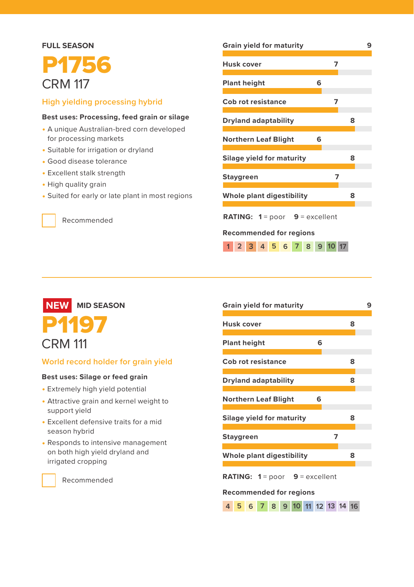### **FULL SEASON**

## P1756 CRM 117

#### **High yielding processing hybrid**

#### **Best uses: Processing, feed grain or silage**

- A unique Australian-bred corn developed for processing markets
- Suitable for irrigation or dryland
- Good disease tolerance
- Excellent stalk strength
- High quality grain
- Suited for early or late plant in most regions

Recommended

| <b>Grain yield for maturity</b>                |         |   |  |  |  |  |  |  |  |
|------------------------------------------------|---------|---|--|--|--|--|--|--|--|
| Husk cover                                     | 7       |   |  |  |  |  |  |  |  |
| <b>Plant height</b>                            | 6       |   |  |  |  |  |  |  |  |
| Cob rot resistance                             | 7       |   |  |  |  |  |  |  |  |
| <b>Dryland adaptability</b>                    |         | 8 |  |  |  |  |  |  |  |
| <b>Northern Leaf Blight</b>                    | 6       |   |  |  |  |  |  |  |  |
| Silage yield for maturity                      |         | 8 |  |  |  |  |  |  |  |
| <b>Staygreen</b>                               | 7       |   |  |  |  |  |  |  |  |
| Whole plant digestibility                      |         | 8 |  |  |  |  |  |  |  |
| <b>RATING:</b> $1 = poor$ <b>9</b> = excellent |         |   |  |  |  |  |  |  |  |
| Recommended for regions                        |         |   |  |  |  |  |  |  |  |
| 1 2 3 4 5 6 7 8                                | 9 10 17 |   |  |  |  |  |  |  |  |

 **MID SEASON** P1197 CRM 111 **NEW**

#### **World record holder for grain yield**

#### **Best uses: Silage or feed grain**

- Extremely high yield potential
- Attractive grain and kernel weight to support yield
- Excellent defensive traits for a mid season hybrid
- Responds to intensive management on both high yield dryland and irrigated cropping

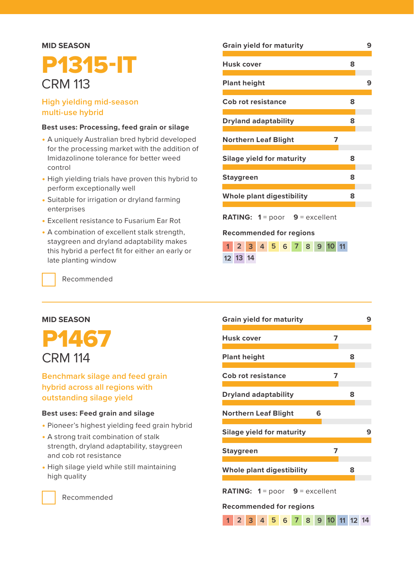#### **MID SEASON**

## P1315-IT CRM 113

#### **High yielding mid-season multi-use hybrid**

#### **Best uses: Processing, feed grain or silage**

- A uniquely Australian bred hybrid developed for the processing market with the addition of Imidazolinone tolerance for better weed control
- High yielding trials have proven this hybrid to perform exceptionally well
- Suitable for irrigation or dryland farming enterprises
- Excellent resistance to Fusarium Ear Rot
- A combination of excellent stalk strength, staygreen and dryland adaptability makes this hybrid a perfect fit for either an early or late planting window

Recommended

#### **MID SEASON**



#### **Benchmark silage and feed grain hybrid across all regions with outstanding silage yield**

#### **Best uses: Feed grain and silage**

- Pioneer's highest yielding feed grain hybrid
- A strong trait combination of stalk strength, dryland adaptability, staygreen and cob rot resistance
- High silage yield while still maintaining high quality

| <b>Grain yield for maturity</b>                |   | 9 |
|------------------------------------------------|---|---|
| Husk cover                                     | 8 |   |
| <b>Plant height</b>                            |   | 9 |
| <b>Cob rot resistance</b>                      | 8 |   |
| <b>Dryland adaptability</b>                    | 8 |   |
| <b>Northern Leaf Blight</b><br>7               |   |   |
| Silage yield for maturity                      | 8 |   |
| <b>Staygreen</b>                               | 8 |   |
| Whole plant digestibility                      | 8 |   |
| <b>RATING:</b> $1 = poor$ <b>9</b> = excellent |   |   |
| Recommended for regions                        |   |   |

|          |  |  |  | 1 2 3 4 5 6 7 8 9 10 11 |  |
|----------|--|--|--|-------------------------|--|
| 12 13 14 |  |  |  |                         |  |

| <b>Grain yield for maturity</b>                | 9 |
|------------------------------------------------|---|
| Husk cover<br>7                                |   |
| <b>Plant height</b>                            | 8 |
| Cob rot resistance<br>7                        |   |
| <b>Dryland adaptability</b>                    | 8 |
| <b>Northern Leaf Blight</b><br>6               |   |
| <b>Silage yield for maturity</b>               | 9 |
| 7<br><b>Staygreen</b>                          |   |
| Whole plant digestibility                      | 8 |
| <b>RATING:</b> $1 = poor$ <b>9</b> = excellent |   |
| <b>Recommended for regions</b>                 |   |
| $1 \t2 \t3 \t4 \t5 \t6$<br>7 8 9 10 11 12 14   |   |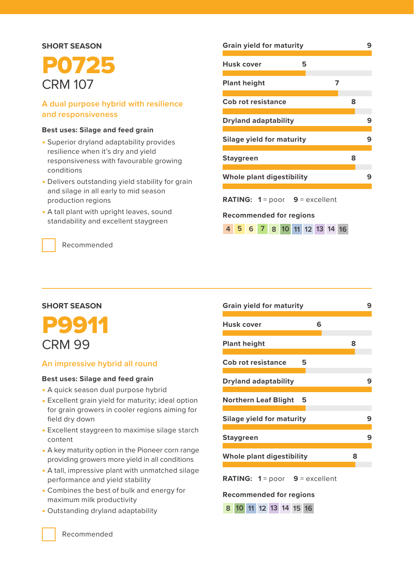#### **SHORT SEASON**

## P0725 CRM 107

#### **A dual purpose hybrid with resilience and responsiveness**

#### **Best uses: Silage and feed grain**

- Superior dryland adaptability provides resilience when it's dry and yield responsiveness with favourable growing conditions
- Delivers outstanding yield stability for grain and silage in all early to mid season production regions
- A tall plant with upright leaves, sound standability and excellent staygreen

Recommended

**SHORT SEASON**

P9911 CRM 99

field dry down

content

**An impressive hybrid all round Best uses: Silage and feed grain** • A quick season dual purpose hybrid • Excellent grain yield for maturity; ideal option for grain growers in cooler regions aiming for

• Excellent staygreen to maximise silage starch

• A key maturity option in the Pioneer corn range providing growers more yield in all conditions • A tall, impressive plant with unmatched silage

## **Grain yield for maturity 9 Husk cover 5 Plant height 7 Cob rot resistance 8 Dryland adaptability 9 Silage yield for maturity 9 Staygreen 8 Whole plant digestibility 9 RATING: 1** = poor **9** = excellent **Recommended for regions**

**4 5 6 7 8 10 11 12 13 14 16**

**Grain yield for maturity 9 Husk cover 6 Plant height 8 Cob rot resistance 5 Dryland adaptability 9 Northern Leaf Blight 5 Silage yield for maturity 9 Staygreen 9 Whole plant digestibility 8 RATING: 1** = poor **9** = excellent

#### **Recommended for regions**

| 8 10 11 12 13 14 15 16 |  |  |  |
|------------------------|--|--|--|
|                        |  |  |  |

Recommended

maximum milk productivity • Outstanding dryland adaptability

performance and yield stability • Combines the best of bulk and energy for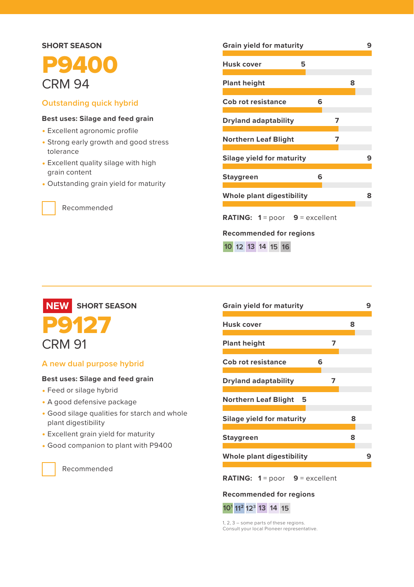## **SHORT SEASON P** 2400 CRM 94

#### **Outstanding quick hybrid**

#### **Best uses: Silage and feed grain**

- Excellent agronomic profile
- Strong early growth and good stress tolerance
- Excellent quality silage with high grain content
- Outstanding grain yield for maturity

Recommended

## **Grain yield for maturity 9 Husk cover 5 Plant height 8 Cob rot resistance 6 Dryland adaptability 7 Northern Leaf Blight 7 Silage yield for maturity 9 Staygreen 6 Whole plant digestibility 8 RATING: 1** = poor **9** = excellent **Recommended for regions**

**16 10 12 13 14 15**



#### **A new dual purpose hybrid**

#### **Best uses: Silage and feed grain**

- Feed or silage hybrid
- A good defensive package
- Good silage qualities for starch and whole plant digestibility
- Excellent grain yield for maturity
- Good companion to plant with P9400

Recommended

| <b>Grain yield for maturity</b> |   |   |   |  |  |  |  |  |  |
|---------------------------------|---|---|---|--|--|--|--|--|--|
|                                 |   | 8 |   |  |  |  |  |  |  |
|                                 | 7 |   |   |  |  |  |  |  |  |
| 6                               |   |   |   |  |  |  |  |  |  |
|                                 | 7 |   |   |  |  |  |  |  |  |
|                                 |   |   |   |  |  |  |  |  |  |
|                                 |   | 8 |   |  |  |  |  |  |  |
|                                 |   | 8 |   |  |  |  |  |  |  |
|                                 |   |   | 9 |  |  |  |  |  |  |
|                                 |   |   |   |  |  |  |  |  |  |

**RATING: 1** = poor **9** = excellent

#### **Recommended for regions**



1, 2, 3 – some parts of these regions. Consult your local Pioneer representative.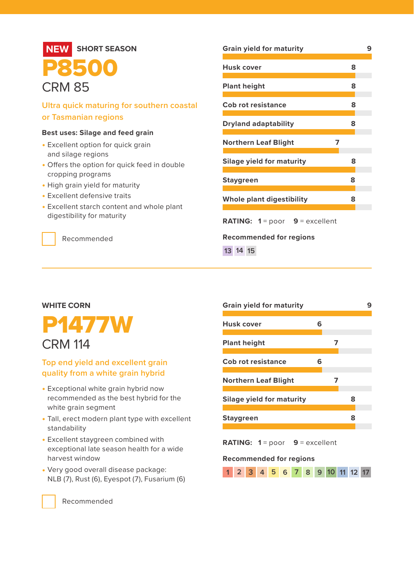#### **SHORT SEASON** P8500 CRM 85 **Ultra quick maturing for southern coastal or Tasmanian regions Best uses: Silage and feed grain** • Excellent option for quick grain and silage regions • Offers the option for quick feed in double cropping programs • High grain yield for maturity • Excellent defensive traits • Excellent starch content and whole plant digestibility for maturity Recommended **Grain yield for maturity 9 Husk cover 8 Plant height 8 Cob rot resistance 8 Dryland adaptability 8 Northern Leaf Blight 7 Silage yield for maturity 8 Staygreen 8 Whole plant digestibility 8 RATING: 1** = poor **9** = excellent **Recommended for regions 13 14 15 NEW**

#### **WHITE CORN**



#### **Top end yield and excellent grain quality from a white grain hybrid**

- Exceptional white grain hybrid now recommended as the best hybrid for the white grain segment
- Tall, erect modern plant type with excellent standability
- Excellent staygreen combined with exceptional late season health for a wide harvest window
- Very good overall disease package: NLB (7), Rust (6), Eyespot (7), Fusarium (6)

| Grain yield for maturity                       |   |   |   |  |  |  |  |  |
|------------------------------------------------|---|---|---|--|--|--|--|--|
| Husk cover                                     | 6 |   |   |  |  |  |  |  |
| <b>Plant height</b>                            |   |   |   |  |  |  |  |  |
| <b>Cob rot resistance</b>                      | 6 |   |   |  |  |  |  |  |
| <b>Northern Leaf Blight</b>                    |   | 7 |   |  |  |  |  |  |
| Silage yield for maturity                      |   |   | 8 |  |  |  |  |  |
| Staygreen                                      |   |   | 8 |  |  |  |  |  |
| <b>RATING:</b> $1 = poor$ <b>9</b> = excellent |   |   |   |  |  |  |  |  |

#### **Recommended for regions**

|  |  |  |  |  |  |  |  |  | 1 2 3 4 5 6 7 8 9 10 11 12 17 |  |  |  |
|--|--|--|--|--|--|--|--|--|-------------------------------|--|--|--|
|--|--|--|--|--|--|--|--|--|-------------------------------|--|--|--|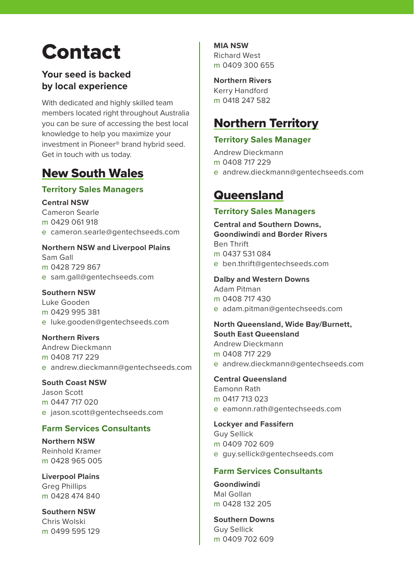# Contact

#### **Your seed is backed by local experience**

With dedicated and highly skilled team members located right throughout Australia you can be sure of accessing the best local knowledge to help you maximize your investment in Pioneer® brand hybrid seed. Get in touch with us today.

### New South Wales

#### **Territory Sales Managers**

**Central NSW**

Cameron Searle m 0429 061 918 e cameron.searle@gentechseeds.com

**Northern NSW and Liverpool Plains** Sam Gall m 0428 729 867 e sam.gall@gentechseeds.com

#### **Southern NSW**

Luke Gooden m 0429 995 381 e luke.gooden@gentechseeds.com

**Northern Rivers**

Andrew Dieckmann m 0408 717 229 e andrew.dieckmann@gentechseeds.com

**South Coast NSW** 

Jason Scott m 0447 717 020 e jason.scott@gentechseeds.com

#### **Farm Services Consultants**

**Northern NSW** Reinhold Kramer m 0428 965 005

**Liverpool Plains** Greg Phillips m 0428 474 840

**Southern NSW** Chris Wolski m 0499 595 129 **MIA NSW** Richard West m 0409 300 655

**Northern Rivers** Kerry Handford m 0418 247 582

### Northern Territory

#### **Territory Sales Manager**

Andrew Dieckmann m 0408 717 229 e andrew.dieckmann@gentechseeds.com

### **Queensland**

#### **Territory Sales Managers**

**Central and Southern Downs, Goondiwindi and Border Rivers** Ben Thrift m 0437 531 084 e ben.thrift@gentechseeds.com

**Dalby and Western Downs** 

Adam Pitman m 0408 717 430 e adam.pitman@gentechseeds.com

**North Queensland, Wide Bay/Burnett, South East Queensland**  Andrew Dieckmann m 0408 717 229

e andrew.dieckmann@gentechseeds.com

**Central Queensland** Eamonn Rath m 0417 713 023 e eamonn.rath@gentechseeds.com

**Lockyer and Fassifern** Guy Sellick

m 0409 702 609 e guy.sellick@gentechseeds.com

#### **Farm Services Consultants**

**Goondiwindi** Mal Gollan m 0428 132 205

**Southern Downs** Guy Sellick m 0409 702 609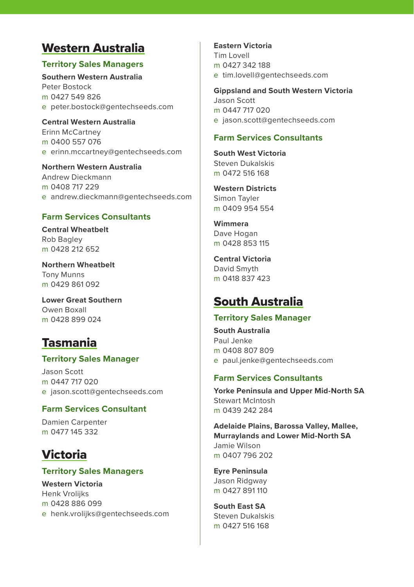### Western Australia

#### **Territory Sales Managers**

**Southern Western Australia** Peter Bostock m 0427 549 826 e peter.bostock@gentechseeds.com

**Central Western Australia** Erinn McCartney m 0400 557 076 e erinn.mccartney@gentechseeds.com

**Northern Western Australia** Andrew Dieckmann m 0408 717 229 e andrew.dieckmann@gentechseeds.com

#### **Farm Services Consultants**

**Central Wheatbelt** Rob Bagley m 0428 212 652

**Northern Wheatbelt** Tony Munns m 0429 861 092

**Lower Great Southern** Owen Boxall m 0428 899 024

### Tasmania

#### **Territory Sales Manager**

Jason Scott m 0447 717 020 e jason.scott@gentechseeds.com

#### **Farm Services Consultant**

Damien Carpenter m 0477 145 332

## Victoria

#### **Territory Sales Managers**

**Western Victoria** Henk Vrolijks m 0428 886 099 e henk.vrolijks@gentechseeds.com **Eastern Victoria** Tim Lovell m 0427 342 188 e tim.lovell@gentechseeds.com

**Gippsland and South Western Victoria**  Jason Scott m 0447 717 020 e jason.scott@gentechseeds.com

#### **Farm Services Consultants**

**South West Victoria** Steven Dukalskis m 0472 516 168

**Western Districts** Simon Tayler m 0409 954 554

**Wimmera** Dave Hogan m 0428 853 115

**Central Victoria** David Smyth m 0418 837 423

### South Australia

#### **Territory Sales Manager**

**South Australia** Paul Jenke m 0408 807 809 e paul.jenke@gentechseeds.com

#### **Farm Services Consultants**

**Yorke Peninsula and Upper Mid-North SA** Stewart McIntosh m 0439 242 284

**Adelaide Plains, Barossa Valley, Mallee, Murraylands and Lower Mid-North SA** Jamie Wilson m 0407 796 202

**Eyre Peninsula** Jason Ridgway m 0427 891 110

**South East SA**  Steven Dukalskis m 0427 516 168